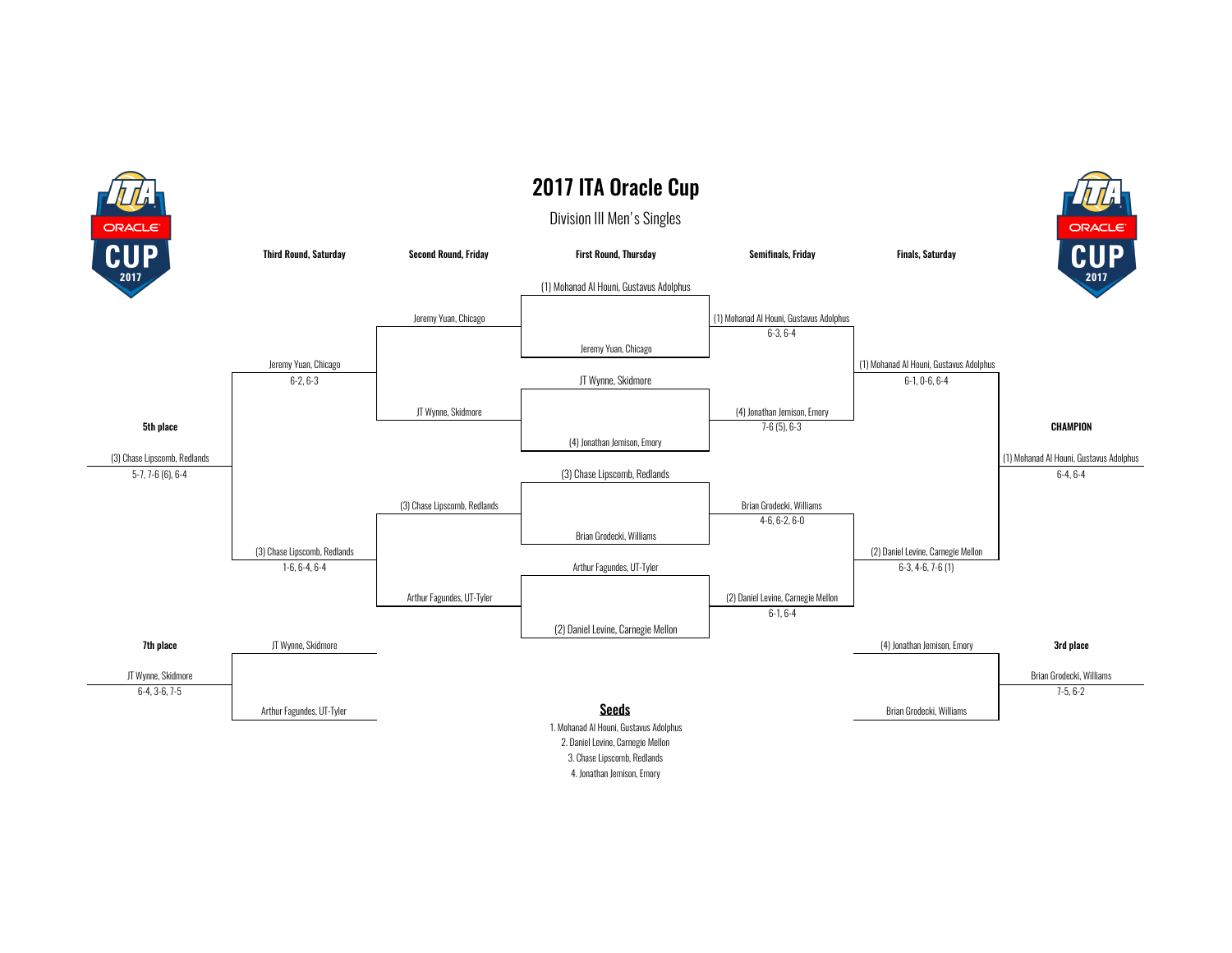